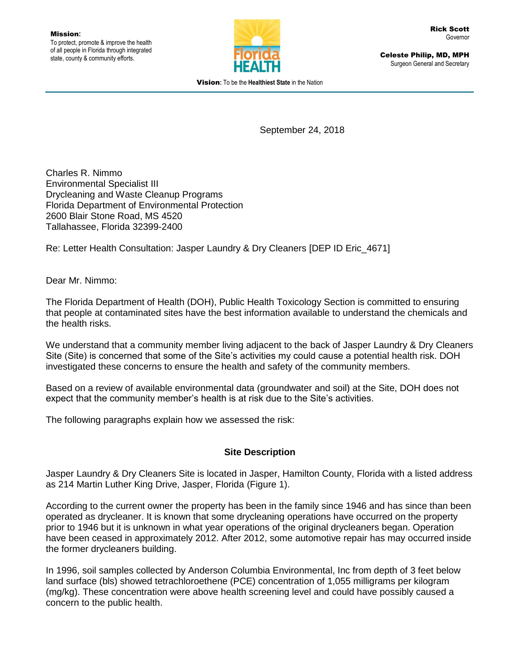

Celeste Philip, MD, MPH Surgeon General and Secretary

Vision**:** To be the **Healthiest State** in the Nation

September 24, 2018

Charles R. Nimmo Environmental Specialist III Drycleaning and Waste Cleanup Programs Florida Department of Environmental Protection 2600 Blair Stone Road, MS 4520 Tallahassee, Florida 32399-2400

Re: Letter Health Consultation: Jasper Laundry & Dry Cleaners [DEP ID Eric\_4671]

Dear Mr. Nimmo:

The Florida Department of Health (DOH), Public Health Toxicology Section is committed to ensuring that people at contaminated sites have the best information available to understand the chemicals and the health risks.

We understand that a community member living adjacent to the back of Jasper Laundry & Dry Cleaners Site (Site) is concerned that some of the Site's activities my could cause a potential health risk. DOH investigated these concerns to ensure the health and safety of the community members.

Based on a review of available environmental data (groundwater and soil) at the Site, DOH does not expect that the community member's health is at risk due to the Site's activities.

The following paragraphs explain how we assessed the risk:

### **Site Description**

Jasper Laundry & Dry Cleaners Site is located in Jasper, Hamilton County, Florida with a listed address as 214 Martin Luther King Drive, Jasper, Florida (Figure 1).

According to the current owner the property has been in the family since 1946 and has since than been operated as drycleaner. It is known that some drycleaning operations have occurred on the property prior to 1946 but it is unknown in what year operations of the original drycleaners began. Operation have been ceased in approximately 2012. After 2012, some automotive repair has may occurred inside the former drycleaners building.

In 1996, soil samples collected by Anderson Columbia Environmental, Inc from depth of 3 feet below land surface (bls) showed tetrachloroethene (PCE) concentration of 1,055 milligrams per kilogram (mg/kg). These concentration were above health screening level and could have possibly caused a concern to the public health.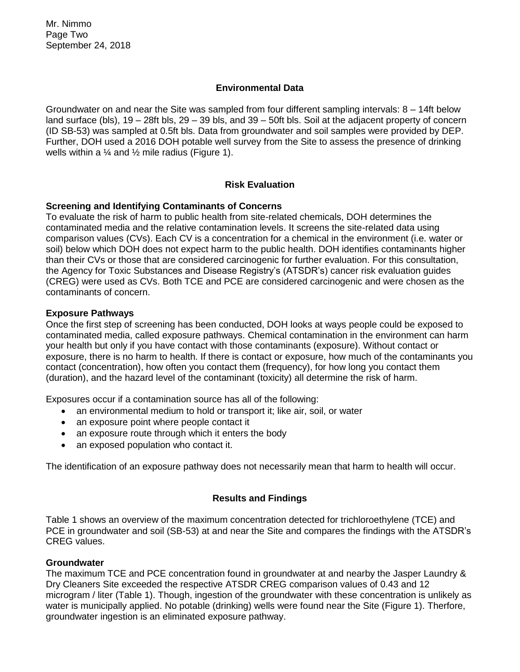Mr. Nimmo Page Two September 24, 2018

#### **Environmental Data**

Groundwater on and near the Site was sampled from four different sampling intervals: 8 – 14ft below land surface (bls), 19 – 28ft bls, 29 – 39 bls, and 39 – 50ft bls. Soil at the adjacent property of concern (ID SB-53) was sampled at 0.5ft bls. Data from groundwater and soil samples were provided by DEP. Further, DOH used a 2016 DOH potable well survey from the Site to assess the presence of drinking wells within a  $\frac{1}{4}$  and  $\frac{1}{2}$  mile radius (Figure 1).

### **Risk Evaluation**

#### **Screening and Identifying Contaminants of Concerns**

To evaluate the risk of harm to public health from site-related chemicals, DOH determines the contaminated media and the relative contamination levels. It screens the site-related data using comparison values (CVs). Each CV is a concentration for a chemical in the environment (i.e. water or soil) below which DOH does not expect harm to the public health. DOH identifies contaminants higher than their CVs or those that are considered carcinogenic for further evaluation. For this consultation, the Agency for Toxic Substances and Disease Registry's (ATSDR's) cancer risk evaluation guides (CREG) were used as CVs. Both TCE and PCE are considered carcinogenic and were chosen as the contaminants of concern.

#### **Exposure Pathways**

Once the first step of screening has been conducted, DOH looks at ways people could be exposed to contaminated media, called exposure pathways. Chemical contamination in the environment can harm your health but only if you have contact with those contaminants (exposure). Without contact or exposure, there is no harm to health. If there is contact or exposure, how much of the contaminants you contact (concentration), how often you contact them (frequency), for how long you contact them (duration), and the hazard level of the contaminant (toxicity) all determine the risk of harm.

Exposures occur if a contamination source has all of the following:

- an environmental medium to hold or transport it; like air, soil, or water
- an exposure point where people contact it
- an exposure route through which it enters the body
- an exposed population who contact it.

The identification of an exposure pathway does not necessarily mean that harm to health will occur.

#### **Results and Findings**

Table 1 shows an overview of the maximum concentration detected for trichloroethylene (TCE) and PCE in groundwater and soil (SB-53) at and near the Site and compares the findings with the ATSDR's CREG values.

#### **Groundwater**

The maximum TCE and PCE concentration found in groundwater at and nearby the Jasper Laundry & Dry Cleaners Site exceeded the respective ATSDR CREG comparison values of 0.43 and 12 microgram / liter (Table 1). Though, ingestion of the groundwater with these concentration is unlikely as water is municipally applied. No potable (drinking) wells were found near the Site (Figure 1). Therfore, groundwater ingestion is an eliminated exposure pathway.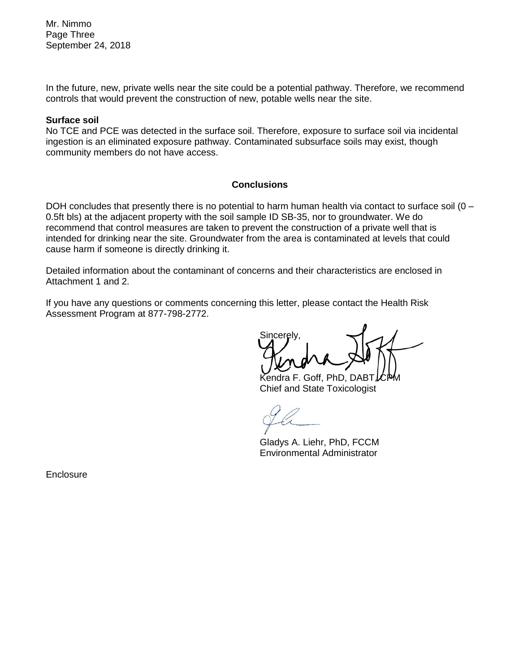Mr. Nimmo Page Three September 24, 2018

In the future, new, private wells near the site could be a potential pathway. Therefore, we recommend controls that would prevent the construction of new, potable wells near the site.

#### **Surface soil**

No TCE and PCE was detected in the surface soil. Therefore, exposure to surface soil via incidental ingestion is an eliminated exposure pathway. Contaminated subsurface soils may exist, though community members do not have access.

#### **Conclusions**

DOH concludes that presently there is no potential to harm human health via contact to surface soil (0 – 0.5ft bls) at the adjacent property with the soil sample ID SB-35, nor to groundwater. We do recommend that control measures are taken to prevent the construction of a private well that is intended for drinking near the site. Groundwater from the area is contaminated at levels that could cause harm if someone is directly drinking it.

Detailed information about the contaminant of concerns and their characteristics are enclosed in Attachment 1 and 2.

If you have any questions or comments concerning this letter, please contact the Health Risk Assessment Program at 877-798-2772.

Sincerely,

Kendra F. Goff, PhD, DABT Chief and State Toxicologist

Gladys A. Liehr, PhD, FCCM Environmental Administrator

**Enclosure**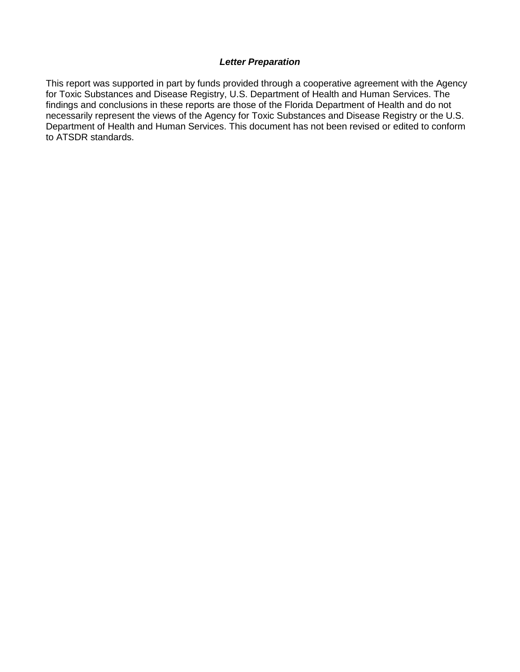#### *Letter Preparation*

This report was supported in part by funds provided through a cooperative agreement with the Agency for Toxic Substances and Disease Registry, U.S. Department of Health and Human Services. The findings and conclusions in these reports are those of the Florida Department of Health and do not necessarily represent the views of the Agency for Toxic Substances and Disease Registry or the U.S. Department of Health and Human Services. This document has not been revised or edited to conform to ATSDR standards.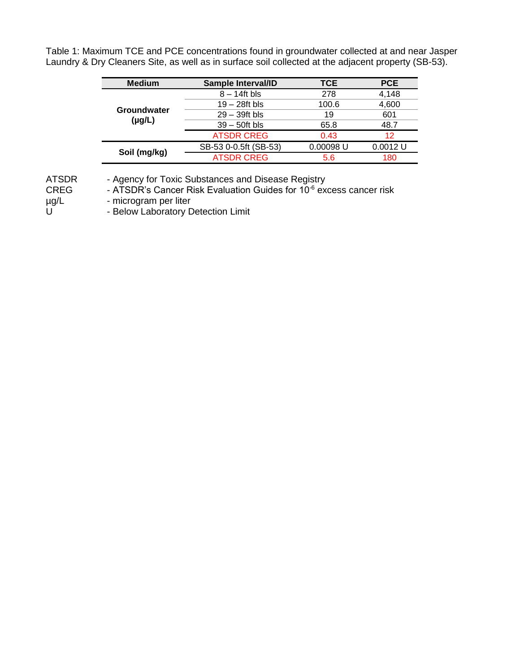Table 1: Maximum TCE and PCE concentrations found in groundwater collected at and near Jasper Laundry & Dry Cleaners Site, as well as in surface soil collected at the adjacent property (SB-53).

| <b>Medium</b>              | Sample Interval/ID    | <b>TCE</b>  | <b>PCE</b> |
|----------------------------|-----------------------|-------------|------------|
| Groundwater<br>$(\mu g/L)$ | $8 - 14$ ft bls       | 278         | 4,148      |
|                            | $19 - 28$ ft bls      | 100.6       | 4,600      |
|                            | $29 - 39$ ft bls      | 19          | 601        |
|                            | $39 - 50$ ft bls      | 65.8        | 48.7       |
|                            | <b>ATSDR CREG</b>     | 0.43        | 12         |
| Soil (mg/kg)               | SB-53 0-0.5ft (SB-53) | $0.00098$ U | $0.0012$ U |
|                            | <b>ATSDR CREG</b>     | 5.6         | 180        |

ATSDR - Agency for Toxic Substances and Disease Registry

CREG - ATSDR's Cancer Risk Evaluation Guides for 10<sup>-6</sup> excess cancer risk<br>
ug/L - microgram per liter<br>
U - Below Laboratory Detection Limit

- microgram per liter

- Below Laboratory Detection Limit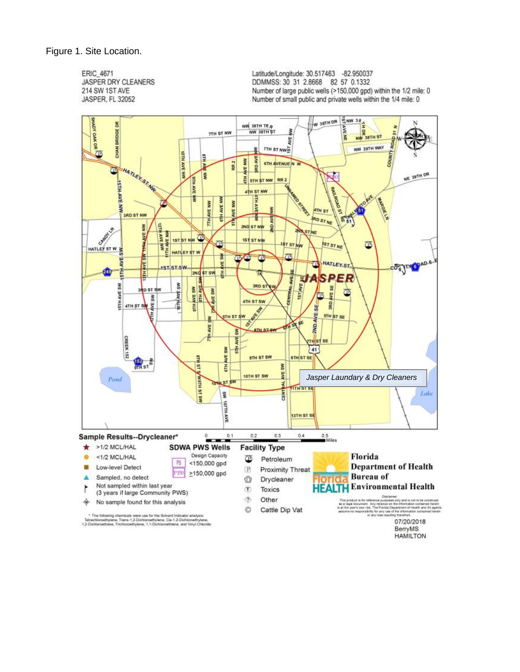**ERIC 4671** JASPER DRY CLEANERS 214 SW 1ST AVE JASPER, FL 32052

Latitude/Longitude: 30.517463 -82.950037 DDMMSS: 30 31 2.8668 82 57 0.1332 Number of large public wells (>150,000 gpd) within the 1/2 mile: 0 Number of small public and private wells within the 1/4 mile: 0

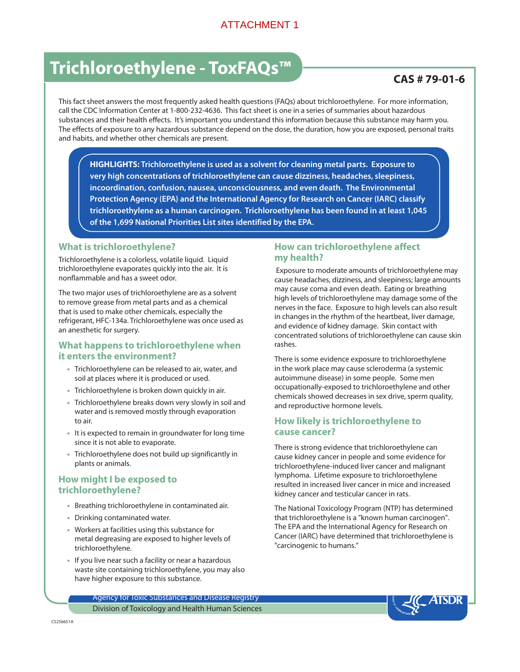### ATTACHMENT 1

# Trichloroethylene - ToxFAQs™ → Tomborouth CAS # 79-01-6

This fact sheet answers the most frequently asked health questions (FAQs) about trichloroethylene. For more information, call the CDC Information Center at 1-800-232-4636. This fact sheet is one in a series of summaries about hazardous substances and their health effects. It's important you understand this information because this substance may harm you. The effects of exposure to any hazardous substance depend on the dose, the duration, how you are exposed, personal traits and habits, and whether other chemicals are present.

**HIGHLIGHTS: Trichloroethylene is used as a solvent for cleaning metal parts. Exposure to very high concentrations of trichloroethylene can cause dizziness, headaches, sleepiness, incoordination, confusion, nausea, unconsciousness, and even death. The Environmental Protection Agency (EPA) and the International Agency for Research on Cancer (IARC) classify trichloroethylene as a human carcinogen. Trichloroethylene has been found in at least 1,045 of the 1,699 National Priorities List sites identified by the EPA.**

#### **What is trichloroethylene?**

Trichloroethylene is a colorless, volatile liquid. Liquid trichloroethylene evaporates quickly into the air. It is nonflammable and has a sweet odor.

The two major uses of trichloroethylene are as a solvent to remove grease from metal parts and as a chemical that is used to make other chemicals, especially the refrigerant, HFC-134a. Trichloroethylene was once used as an anesthetic for surgery.

#### **What happens to trichloroethylene when it enters the environment?**

- Trichloroethylene can be released to air, water, and soil at places where it is produced or used.
- Trichloroethylene is broken down quickly in air.
- Trichloroethylene breaks down very slowly in soil and water and is removed mostly through evaporation to air.
- It is expected to remain in groundwater for long time since it is not able to evaporate.
- Trichloroethylene does not build up significantly in plants or animals.

#### **How might I be exposed to trichloroethylene?**

- Breathing trichloroethylene in contaminated air.
- Drinking contaminated water.
- Workers at facilities using this substance for metal degreasing are exposed to higher levels of trichloroethylene.
- If you live near such a facility or near a hazardous waste site containing trichloroethylene, you may also have higher exposure to this substance.

#### **How can trichloroethylene affect my health?**

 Exposure to moderate amounts of trichloroethylene may cause headaches, dizziness, and sleepiness; large amounts may cause coma and even death. Eating or breathing high levels of trichloroethylene may damage some of the nerves in the face. Exposure to high levels can also result in changes in the rhythm of the heartbeat, liver damage, and evidence of kidney damage. Skin contact with concentrated solutions of trichloroethylene can cause skin rashes.

There is some evidence exposure to trichloroethylene in the work place may cause scleroderma (a systemic autoimmune disease) in some people. Some men occupationally-exposed to trichloroethylene and other chemicals showed decreases in sex drive, sperm quality, and reproductive hormone levels.

#### **How likely is trichloroethylene to cause cancer?**

There is strong evidence that trichloroethylene can cause kidney cancer in people and some evidence for trichloroethylene-induced liver cancer and malignant lymphoma. Lifetime exposure to trichloroethylene resulted in increased liver cancer in mice and increased kidney cancer and testicular cancer in rats.

The National Toxicology Program (NTP) has determined that trichloroethylene is a "known human carcinogen". The EPA and the International Agency for Research on Cancer (IARC) have determined that trichloroethylene is "carcinogenic to humans."

Agency for Toxic Substances and Disease Registry Division of Toxicology and Health Human Sciences

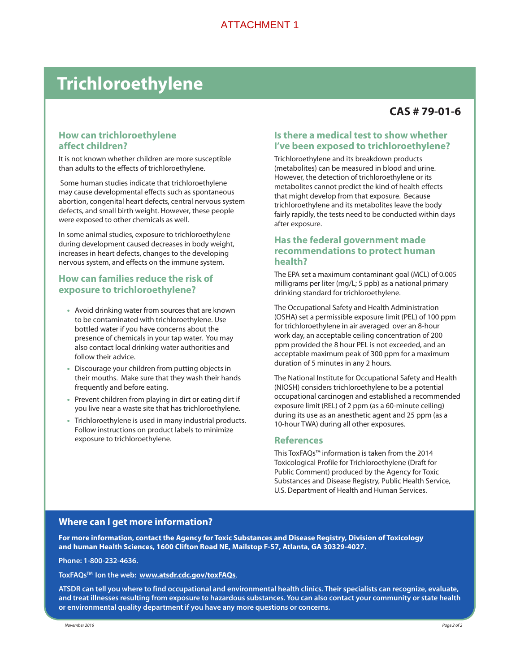# **Trichloroethylene**

# **CAS # 79-01-6**

#### **How can trichloroethylene affect children?**

It is not known whether children are more susceptible than adults to the effects of trichloroethylene.

 Some human studies indicate that trichloroethylene may cause developmental effects such as spontaneous abortion, congenital heart defects, central nervous system defects, and small birth weight. However, these people were exposed to other chemicals as well.

In some animal studies, exposure to trichloroethylene during development caused decreases in body weight, increases in heart defects, changes to the developing nervous system, and effects on the immune system.

### **How can families reduce the risk of exposure to trichloroethylene?**

- Avoid drinking water from sources that are known to be contaminated with trichloroethylene. Use bottled water if you have concerns about the presence of chemicals in your tap water. You may also contact local drinking water authorities and follow their advice.
- Discourage your children from putting objects in their mouths. Make sure that they wash their hands frequently and before eating.
- Prevent children from playing in dirt or eating dirt if you live near a waste site that has trichloroethylene.
- Trichloroethylene is used in many industrial products. Follow instructions on product labels to minimize exposure to trichloroethylene.

#### **Is there a medical test to show whether I've been exposed to trichloroethylene?**

Trichloroethylene and its breakdown products (metabolites) can be measured in blood and urine. However, the detection of trichloroethylene or its metabolites cannot predict the kind of health effects that might develop from that exposure. Because trichloroethylene and its metabolites leave the body fairly rapidly, the tests need to be conducted within days after exposure.

#### **Has the federal government made recommendations to protect human health?**

The EPA set a maximum contaminant goal (MCL) of 0.005 milligrams per liter (mg/L; 5 ppb) as a national primary drinking standard for trichloroethylene.

The Occupational Safety and Health Administration (OSHA) set a permissible exposure limit (PEL) of 100 ppm for trichloroethylene in air averaged over an 8-hour work day, an acceptable ceiling concentration of 200 ppm provided the 8 hour PEL is not exceeded, and an acceptable maximum peak of 300 ppm for a maximum duration of 5 minutes in any 2 hours.

The National Institute for Occupational Safety and Health (NIOSH) considers trichloroethylene to be a potential occupational carcinogen and established a recommended exposure limit (REL) of 2 ppm (as a 60-minute ceiling) during its use as an anesthetic agent and 25 ppm (as a 10-hour TWA) during all other exposures.

#### **References**

This ToxFAQs™ information is taken from the 2014 Toxicological Profile for Trichloroethylene (Draft for Public Comment) produced by the Agency for Toxic Substances and Disease Registry, Public Health Service, U.S. Department of Health and Human Services.

#### **Where can I get more information?**

**For more information, contact the Agency for Toxic Substances and Disease Registry, Division of Toxicology and human Health Sciences, 1600 Clifton Road NE, Mailstop F-57, Atlanta, GA 30329-4027.**

**Phone: 1-800-232-4636.**

**ToxFAQsTM Ion the web: www.atsdr.cdc.gov/toxFAQs**.

**ATSDR can tell you where to find occupational and environmental health clinics. Their specialists can recognize, evaluate, and treat illnesses resulting from exposure to hazardous substances. You can also contact your community or state health or environmental quality department if you have any more questions or concerns.**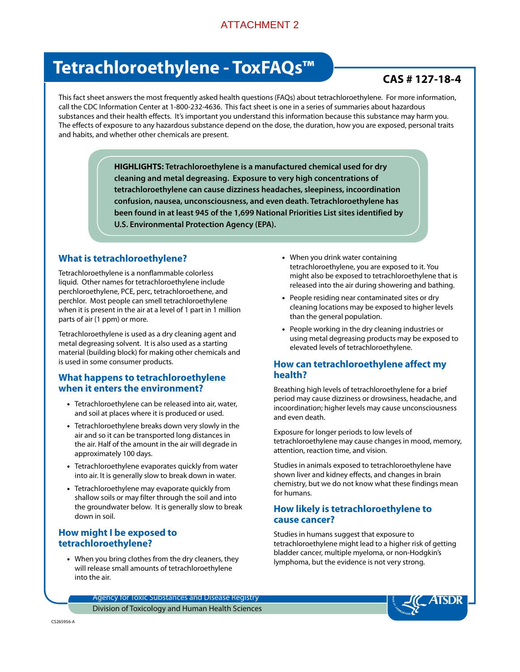## ATTACHMENT 2

# Tetrachloroethylene - ToxFAQs<sup>™</sup> PONTALL CAS # 127-18-4

This fact sheet answers the most frequently asked health questions (FAQs) about tetrachloroethylene. For more information, call the CDC Information Center at 1-800-232-4636. This fact sheet is one in a series of summaries about hazardous substances and their health effects. It's important you understand this information because this substance may harm you. The effects of exposure to any hazardous substance depend on the dose, the duration, how you are exposed, personal traits and habits, and whether other chemicals are present.

> **HIGHLIGHTS: Tetrachloroethylene is a manufactured chemical used for dry cleaning and metal degreasing. Exposure to very high concentrations of tetrachloroethylene can cause dizziness headaches, sleepiness, incoordination confusion, nausea, unconsciousness, and even death. Tetrachloroethylene has been found in at least 945 of the 1,699 National Priorities List sites identified by U.S. Environmental Protection Agency (EPA).**

#### **What is tetrachloroethylene?**

Tetrachloroethylene is a nonflammable colorless liquid. Other names for tetrachloroethylene include perchloroethylene, PCE, perc, tetrachloroethene, and perchlor. Most people can smell tetrachloroethylene when it is present in the air at a level of 1 part in 1 million parts of air (1 ppm) or more.

Tetrachloroethylene is used as a dry cleaning agent and metal degreasing solvent. It is also used as a starting material (building block) for making other chemicals and is used in some consumer products.

#### **What happens to tetrachloroethylene when it enters the environment?**

- Tetrachloroethylene can be released into air, water, and soil at places where it is produced or used.
- Tetrachloroethylene breaks down very slowly in the air and so it can be transported long distances in the air. Half of the amount in the air will degrade in approximately 100 days.
- Tetrachloroethylene evaporates quickly from water into air. It is generally slow to break down in water.
- Tetrachloroethylene may evaporate quickly from shallow soils or may filter through the soil and into the groundwater below. It is generally slow to break down in soil.

#### **How might I be exposed to tetrachloroethylene?**

• When you bring clothes from the dry cleaners, they will release small amounts of tetrachloroethylene into the air.

- When you drink water containing tetrachloroethylene, you are exposed to it. You might also be exposed to tetrachloroethylene that is released into the air during showering and bathing.
- People residing near contaminated sites or dry cleaning locations may be exposed to higher levels than the general population.
- People working in the dry cleaning industries or using metal degreasing products may be exposed to elevated levels of tetrachloroethylene.

#### **How can tetrachloroethylene affect my health?**

Breathing high levels of tetrachloroethylene for a brief period may cause dizziness or drowsiness, headache, and incoordination; higher levels may cause unconsciousness and even death.

Exposure for longer periods to low levels of tetrachloroethylene may cause changes in mood, memory, attention, reaction time, and vision.

Studies in animals exposed to tetrachloroethylene have shown liver and kidney effects, and changes in brain chemistry, but we do not know what these findings mean for humans.

### **How likely is tetrachloroethylene to cause cancer?**

Studies in humans suggest that exposure to tetrachloroethylene might lead to a higher risk of getting bladder cancer, multiple myeloma, or non-Hodgkin's lymphoma, but the evidence is not very strong.

Agency for Toxic Substances and Disease Registry Division of Toxicology and Human Health Sciences